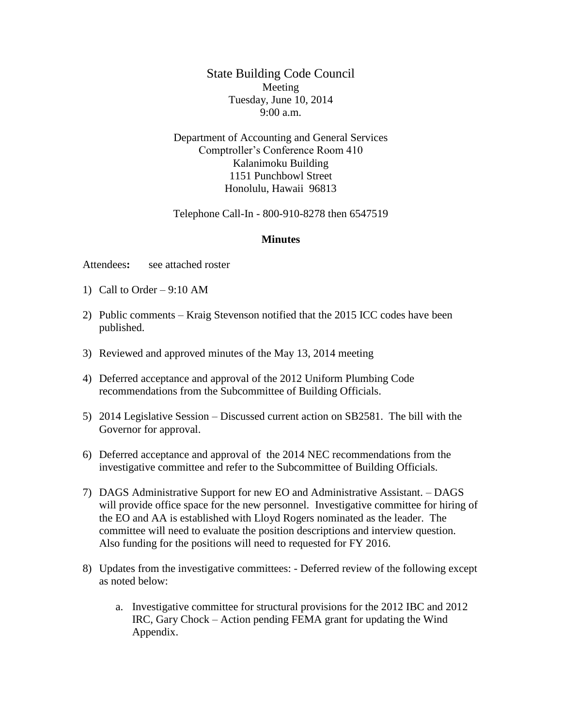State Building Code Council Meeting Tuesday, June 10, 2014 9:00 a.m.

Department of Accounting and General Services Comptroller's Conference Room 410 Kalanimoku Building 1151 Punchbowl Street Honolulu, Hawaii 96813

Telephone Call-In - 800-910-8278 then 6547519

## **Minutes**

Attendees**:** see attached roster

- 1) Call to Order 9:10 AM
- 2) Public comments Kraig Stevenson notified that the 2015 ICC codes have been published.
- 3) Reviewed and approved minutes of the May 13, 2014 meeting
- 4) Deferred acceptance and approval of the 2012 Uniform Plumbing Code recommendations from the Subcommittee of Building Officials.
- 5) 2014 Legislative Session Discussed current action on SB2581. The bill with the Governor for approval.
- 6) Deferred acceptance and approval of the 2014 NEC recommendations from the investigative committee and refer to the Subcommittee of Building Officials.
- 7) DAGS Administrative Support for new EO and Administrative Assistant. DAGS will provide office space for the new personnel. Investigative committee for hiring of the EO and AA is established with Lloyd Rogers nominated as the leader. The committee will need to evaluate the position descriptions and interview question. Also funding for the positions will need to requested for FY 2016.
- 8) Updates from the investigative committees: Deferred review of the following except as noted below:
	- a. Investigative committee for structural provisions for the 2012 IBC and 2012 IRC, Gary Chock – Action pending FEMA grant for updating the Wind Appendix.